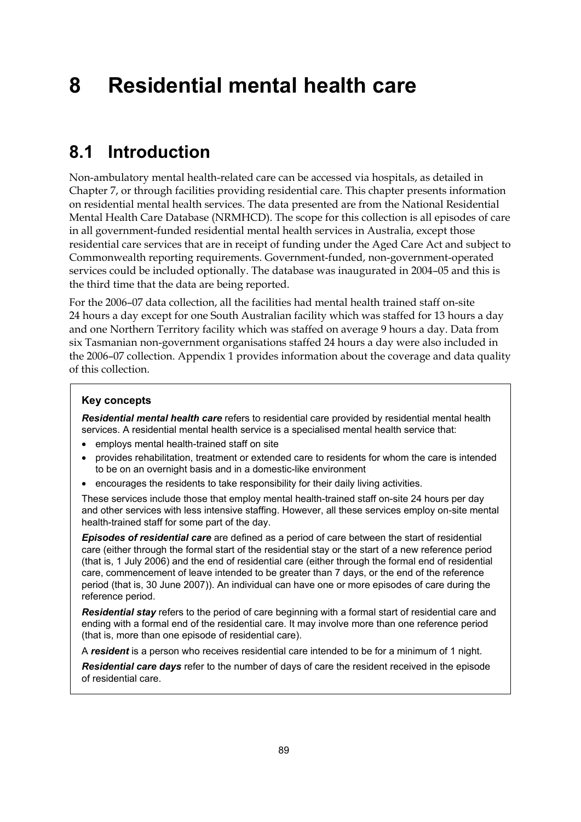# **8 Residential mental health care**

### **8.1 Introduction**

Non-ambulatory mental health-related care can be accessed via hospitals, as detailed in Chapter 7, or through facilities providing residential care. This chapter presents information on residential mental health services. The data presented are from the National Residential Mental Health Care Database (NRMHCD). The scope for this collection is all episodes of care in all government-funded residential mental health services in Australia, except those residential care services that are in receipt of funding under the Aged Care Act and subject to Commonwealth reporting requirements. Government-funded, non-government-operated services could be included optionally. The database was inaugurated in 2004–05 and this is the third time that the data are being reported.

For the 2006–07 data collection, all the facilities had mental health trained staff on-site 24 hours a day except for one South Australian facility which was staffed for 13 hours a day and one Northern Territory facility which was staffed on average 9 hours a day. Data from six Tasmanian non-government organisations staffed 24 hours a day were also included in the 2006–07 collection. Appendix 1 provides information about the coverage and data quality of this collection.

#### **Key concepts**

*Residential mental health care* refers to residential care provided by residential mental health services. A residential mental health service is a specialised mental health service that:

- employs mental health-trained staff on site
- provides rehabilitation, treatment or extended care to residents for whom the care is intended to be on an overnight basis and in a domestic-like environment
- encourages the residents to take responsibility for their daily living activities.

These services include those that employ mental health-trained staff on-site 24 hours per day and other services with less intensive staffing. However, all these services employ on-site mental health-trained staff for some part of the day.

*Episodes of residential care* are defined as a period of care between the start of residential care (either through the formal start of the residential stay or the start of a new reference period (that is, 1 July 2006) and the end of residential care (either through the formal end of residential care, commencement of leave intended to be greater than 7 days, or the end of the reference period (that is, 30 June 2007)). An individual can have one or more episodes of care during the reference period.

*Residential stay* refers to the period of care beginning with a formal start of residential care and ending with a formal end of the residential care. It may involve more than one reference period (that is, more than one episode of residential care).

A *resident* is a person who receives residential care intended to be for a minimum of 1 night.

*Residential care days* refer to the number of days of care the resident received in the episode of residential care.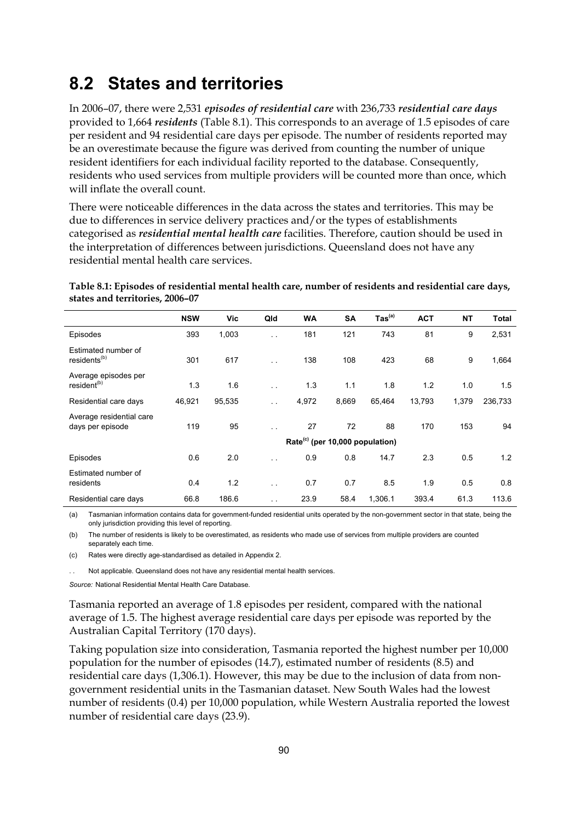### **8.2 States and territories**

In 2006–07, there were 2,531 *episodes of residential care* with 236,733 *residential care days* provided to 1,664 *residents* (Table 8.1). This corresponds to an average of 1.5 episodes of care per resident and 94 residential care days per episode. The number of residents reported may be an overestimate because the figure was derived from counting the number of unique resident identifiers for each individual facility reported to the database. Consequently, residents who used services from multiple providers will be counted more than once, which will inflate the overall count.

There were noticeable differences in the data across the states and territories. This may be due to differences in service delivery practices and/or the types of establishments categorised as *residential mental health care* facilities. Therefore, caution should be used in the interpretation of differences between jurisdictions. Queensland does not have any residential mental health care services.

| Table 8.1: Episodes of residential mental health care, number of residents and residential care days, |  |
|-------------------------------------------------------------------------------------------------------|--|
| states and territories, 2006-07                                                                       |  |

|                                                 | <b>NSW</b>                                  | Vic    | Qld                  | <b>WA</b> | <b>SA</b> | $\mathsf{ Tas}^\mathsf{(a)}$ | <b>ACT</b> | <b>NT</b> | <b>Total</b> |
|-------------------------------------------------|---------------------------------------------|--------|----------------------|-----------|-----------|------------------------------|------------|-----------|--------------|
| Episodes                                        | 393                                         | 1,003  | $\ddot{\phantom{1}}$ | 181       | 121       | 743                          | 81         | 9         | 2,531        |
| Estimated number of<br>residents <sup>(b)</sup> | 301                                         | 617    | $\ddot{\phantom{a}}$ | 138       | 108       | 423                          | 68         | 9         | 1,664        |
| Average episodes per<br>resident <sup>(b)</sup> | 1.3                                         | 1.6    | $\ddot{\phantom{0}}$ | 1.3       | 1.1       | 1.8                          | 1.2        | 1.0       | 1.5          |
| Residential care days                           | 46,921                                      | 95,535 | $\ddotsc$            | 4,972     | 8,669     | 65,464                       | 13,793     | 1,379     | 236,733      |
| Average residential care<br>days per episode    | 119                                         | 95     | $\ddot{\phantom{1}}$ | 27        | 72        | 88                           | 170        | 153       | 94           |
|                                                 | Rate <sup>(c)</sup> (per 10,000 population) |        |                      |           |           |                              |            |           |              |
| Episodes                                        | 0.6                                         | 2.0    | $\ddot{\phantom{1}}$ | 0.9       | 0.8       | 14.7                         | 2.3        | 0.5       | 1.2          |
| Estimated number of<br>residents                | 0.4                                         | 1.2    | $\ddot{\phantom{0}}$ | 0.7       | 0.7       | 8.5                          | 1.9        | 0.5       | 0.8          |
| Residential care days                           | 66.8                                        | 186.6  | $\ddotsc$            | 23.9      | 58.4      | 1,306.1                      | 393.4      | 61.3      | 113.6        |

(a) Tasmanian information contains data for government-funded residential units operated by the non-government sector in that state, being the only jurisdiction providing this level of reporting.

(b) The number of residents is likely to be overestimated, as residents who made use of services from multiple providers are counted separately each time.

(c) Rates were directly age-standardised as detailed in Appendix 2.

. Not applicable. Queensland does not have any residential mental health services.

*Source:* National Residential Mental Health Care Database.

Tasmania reported an average of 1.8 episodes per resident, compared with the national average of 1.5. The highest average residential care days per episode was reported by the Australian Capital Territory (170 days).

Taking population size into consideration, Tasmania reported the highest number per 10,000 population for the number of episodes (14.7), estimated number of residents (8.5) and residential care days (1,306.1). However, this may be due to the inclusion of data from nongovernment residential units in the Tasmanian dataset. New South Wales had the lowest number of residents (0.4) per 10,000 population, while Western Australia reported the lowest number of residential care days (23.9).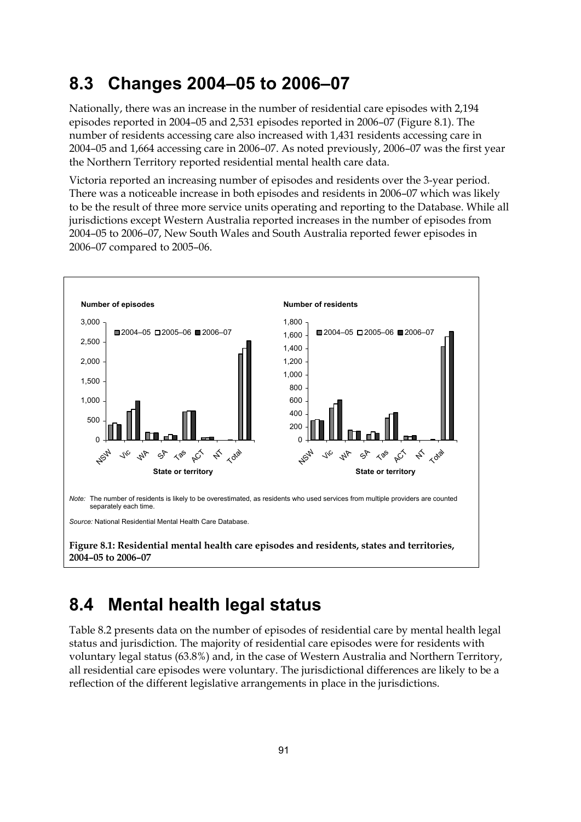### **8.3 Changes 2004–05 to 2006–07**

Nationally, there was an increase in the number of residential care episodes with 2,194 episodes reported in 2004–05 and 2,531 episodes reported in 2006–07 (Figure 8.1). The number of residents accessing care also increased with 1,431 residents accessing care in 2004–05 and 1,664 accessing care in 2006–07. As noted previously, 2006–07 was the first year the Northern Territory reported residential mental health care data.

Victoria reported an increasing number of episodes and residents over the 3-year period. There was a noticeable increase in both episodes and residents in 2006–07 which was likely to be the result of three more service units operating and reporting to the Database. While all jurisdictions except Western Australia reported increases in the number of episodes from 2004–05 to 2006–07, New South Wales and South Australia reported fewer episodes in 2006–07 compared to 2005–06.



## **8.4 Mental health legal status**

Table 8.2 presents data on the number of episodes of residential care by mental health legal status and jurisdiction. The majority of residential care episodes were for residents with voluntary legal status (63.8%) and, in the case of Western Australia and Northern Territory, all residential care episodes were voluntary. The jurisdictional differences are likely to be a reflection of the different legislative arrangements in place in the jurisdictions.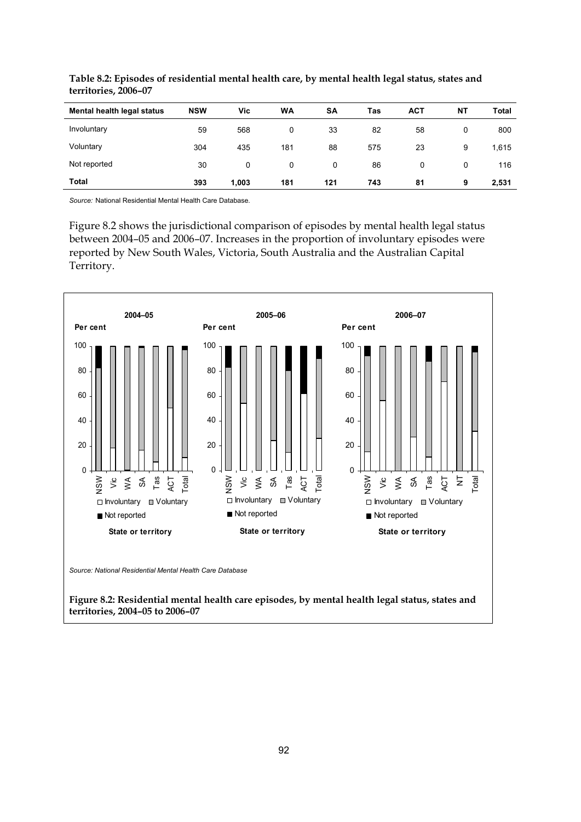| Mental health legal status | <b>NSW</b> | Vic   | WA  | SΑ  | Tas | <b>ACT</b> | <b>NT</b> | Total |
|----------------------------|------------|-------|-----|-----|-----|------------|-----------|-------|
| Involuntary                | 59         | 568   | 0   | 33  | 82  | 58         | 0         | 800   |
| Voluntary                  | 304        | 435   | 181 | 88  | 575 | 23         | 9         | 1,615 |
| Not reported               | 30         | 0     | 0   | 0   | 86  | 0          | 0         | 116   |
| Total                      | 393        | 1,003 | 181 | 121 | 743 | 81         | 9         | 2,531 |

**Table 8.2: Episodes of residential mental health care, by mental health legal status, states and territories, 2006–07** 

*Source:* National Residential Mental Health Care Database.

Figure 8.2 shows the jurisdictional comparison of episodes by mental health legal status between 2004–05 and 2006–07. Increases in the proportion of involuntary episodes were reported by New South Wales, Victoria, South Australia and the Australian Capital Territory.



*Source: National Residential Mental Health Care Database* 

**Figure 8.2: Residential mental health care episodes, by mental health legal status, states and territories, 2004–05 to 2006–07**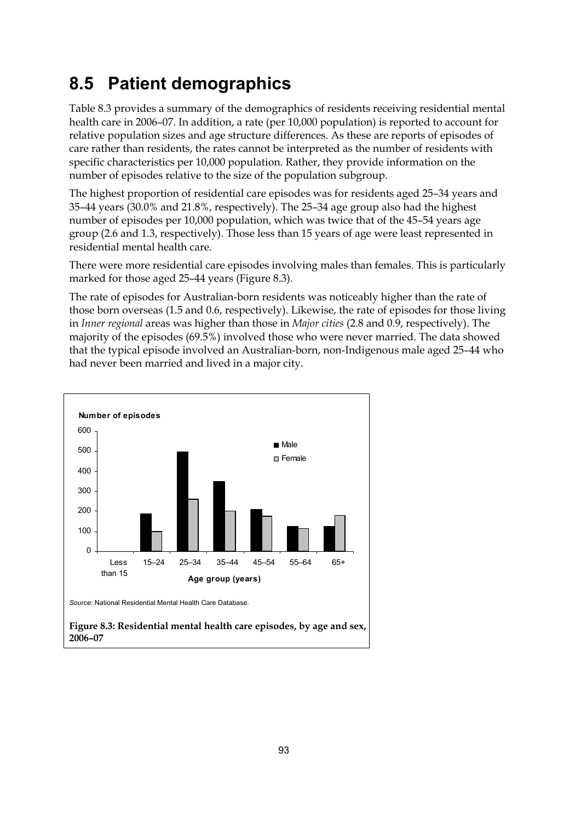## **8.5 Patient demographics**

Table 8.3 provides a summary of the demographics of residents receiving residential mental health care in 2006–07. In addition, a rate (per 10,000 population) is reported to account for relative population sizes and age structure differences. As these are reports of episodes of care rather than residents, the rates cannot be interpreted as the number of residents with specific characteristics per 10,000 population. Rather, they provide information on the number of episodes relative to the size of the population subgroup.

The highest proportion of residential care episodes was for residents aged 25–34 years and 35–44 years (30.0% and 21.8%, respectively). The 25–34 age group also had the highest number of episodes per 10,000 population, which was twice that of the 45–54 years age group (2.6 and 1.3, respectively). Those less than 15 years of age were least represented in residential mental health care.

There were more residential care episodes involving males than females. This is particularly marked for those aged 25–44 years (Figure 8.3).

The rate of episodes for Australian-born residents was noticeably higher than the rate of those born overseas (1.5 and 0.6, respectively). Likewise, the rate of episodes for those living in *Inner regional* areas was higher than those in *Major cities* (2.8 and 0.9, respectively). The majority of the episodes (69.5%) involved those who were never married. The data showed that the typical episode involved an Australian-born, non-Indigenous male aged 25–44 who had never been married and lived in a major city.

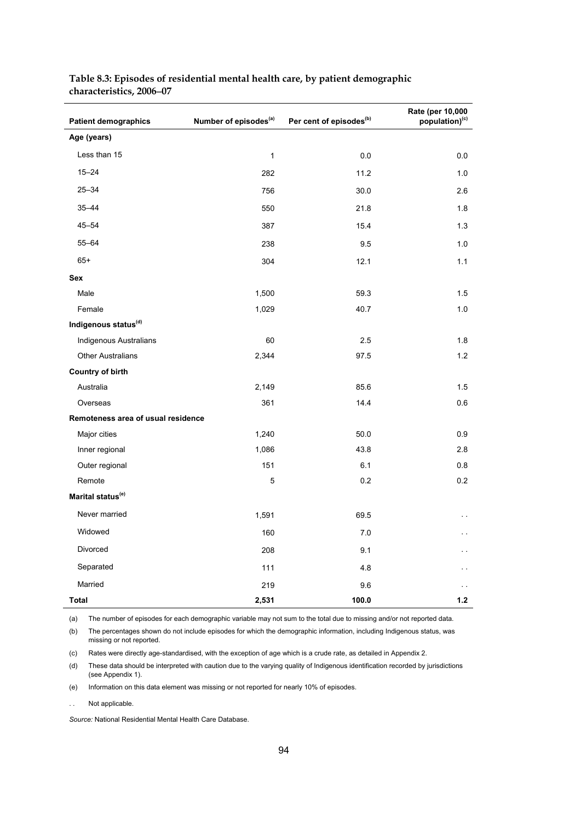| <b>Patient demographics</b>        | Number of episodes <sup>(a)</sup> | Per cent of episodes <sup>(b)</sup> | Rate (per 10,000<br>population) <sup>(c)</sup> |
|------------------------------------|-----------------------------------|-------------------------------------|------------------------------------------------|
| Age (years)                        |                                   |                                     |                                                |
| Less than 15                       | $\mathbf{1}$                      | 0.0                                 | 0.0                                            |
| $15 - 24$                          | 282                               | 11.2                                | 1.0                                            |
| $25 - 34$                          | 756                               | 30.0                                | 2.6                                            |
| $35 - 44$                          | 550                               | 21.8                                | 1.8                                            |
| $45 - 54$                          | 387                               | 15.4                                | 1.3                                            |
| $55 - 64$                          | 238                               | 9.5                                 | 1.0                                            |
| $65+$                              | 304                               | 12.1                                | 1.1                                            |
| Sex                                |                                   |                                     |                                                |
| Male                               | 1,500                             | 59.3                                | 1.5                                            |
| Female                             | 1,029                             | 40.7                                | 1.0                                            |
| Indigenous status <sup>(d)</sup>   |                                   |                                     |                                                |
| Indigenous Australians             | 60                                | 2.5                                 | 1.8                                            |
| <b>Other Australians</b>           | 2,344                             | 97.5                                | 1.2                                            |
| <b>Country of birth</b>            |                                   |                                     |                                                |
| Australia                          | 2,149                             | 85.6                                | 1.5                                            |
| Overseas                           | 361                               | 14.4                                | 0.6                                            |
| Remoteness area of usual residence |                                   |                                     |                                                |
| Major cities                       | 1,240                             | 50.0                                | 0.9                                            |
| Inner regional                     | 1,086                             | 43.8                                | 2.8                                            |
| Outer regional                     | 151                               | 6.1                                 | 0.8                                            |
| Remote                             | 5                                 | 0.2                                 | 0.2                                            |
| Marital status <sup>(e)</sup>      |                                   |                                     |                                                |
| Never married                      | 1,591                             | 69.5                                | $\sim$ $\sim$                                  |
| Widowed                            | 160                               | 7.0                                 | $\sim$ $\sim$                                  |
| Divorced                           | 208                               | 9.1                                 | . .                                            |
| Separated                          | 111                               | 4.8                                 | $\ddotsc$                                      |
| Married                            | 219                               | 9.6                                 |                                                |
| <b>Total</b>                       | 2,531                             | 100.0                               | 1.2                                            |

#### **Table 8.3: Episodes of residential mental health care, by patient demographic characteristics, 2006**−**07**

(a) The number of episodes for each demographic variable may not sum to the total due to missing and/or not reported data.

(b) The percentages shown do not include episodes for which the demographic information, including Indigenous status, was missing or not reported.

(c) Rates were directly age-standardised, with the exception of age which is a crude rate, as detailed in Appendix 2.

(d) These data should be interpreted with caution due to the varying quality of Indigenous identification recorded by jurisdictions (see Appendix 1).

(e) Information on this data element was missing or not reported for nearly 10% of episodes.

. . Not applicable.

*Source:* National Residential Mental Health Care Database.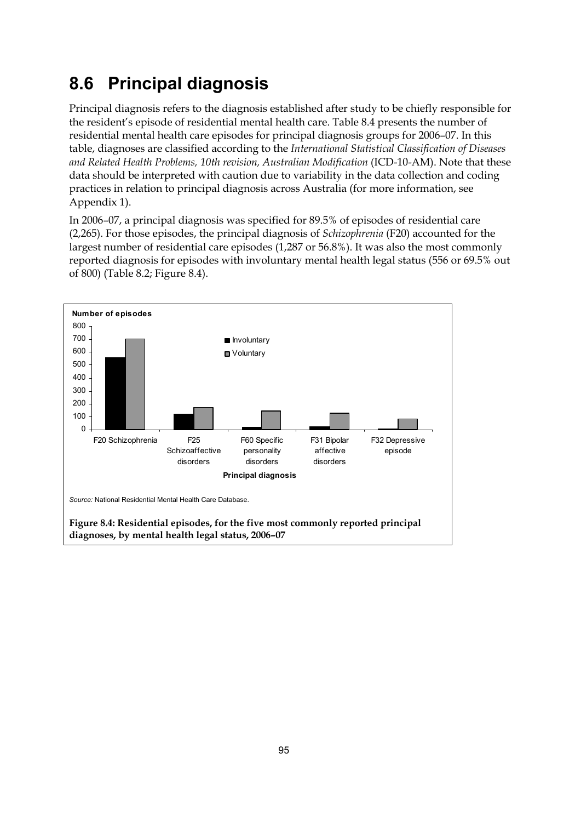# **8.6 Principal diagnosis**

Principal diagnosis refers to the diagnosis established after study to be chiefly responsible for the resident's episode of residential mental health care. Table 8.4 presents the number of residential mental health care episodes for principal diagnosis groups for 2006–07. In this table, diagnoses are classified according to the *International Statistical Classification of Diseases and Related Health Problems, 10th revision, Australian Modification* (ICD-10-AM). Note that these data should be interpreted with caution due to variability in the data collection and coding practices in relation to principal diagnosis across Australia (for more information, see Appendix 1).

In 2006–07, a principal diagnosis was specified for 89.5% of episodes of residential care (2,265). For those episodes, the principal diagnosis of *Schizophrenia* (F20) accounted for the largest number of residential care episodes (1,287 or 56.8%). It was also the most commonly reported diagnosis for episodes with involuntary mental health legal status (556 or 69.5% out of 800) (Table 8.2; Figure 8.4).

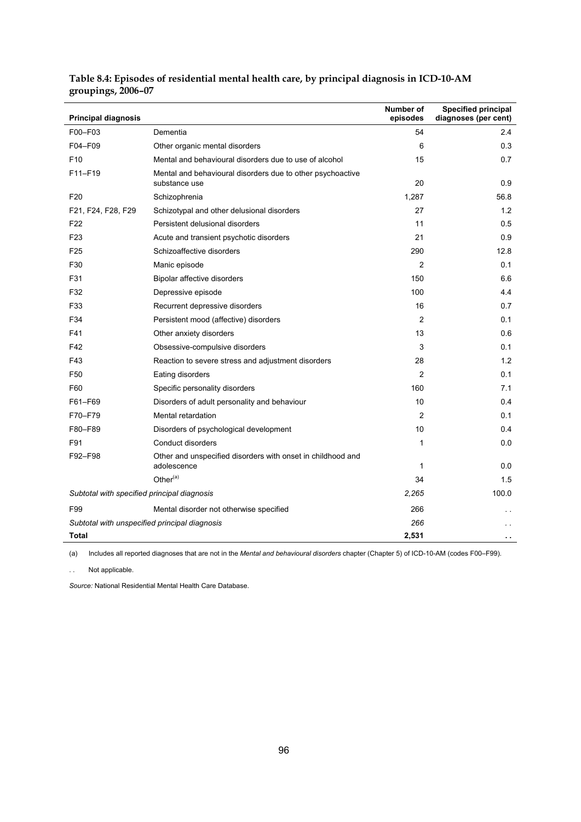| <b>Principal diagnosis</b>                    |                                                                             | Number of<br>episodes | <b>Specified principal</b><br>diagnoses (per cent) |
|-----------------------------------------------|-----------------------------------------------------------------------------|-----------------------|----------------------------------------------------|
| F00-F03                                       | Dementia                                                                    | 54                    | 2.4                                                |
| F04-F09                                       | Other organic mental disorders                                              | 6                     | 0.3                                                |
| F <sub>10</sub>                               | Mental and behavioural disorders due to use of alcohol                      | 15                    | 0.7                                                |
| F11-F19                                       | Mental and behavioural disorders due to other psychoactive<br>substance use | 20                    | 0.9                                                |
| F <sub>20</sub>                               | Schizophrenia                                                               | 1,287                 | 56.8                                               |
| F21, F24, F28, F29                            | Schizotypal and other delusional disorders                                  | 27                    | 1.2                                                |
| F <sub>22</sub>                               | Persistent delusional disorders                                             | 11                    | 0.5                                                |
| F <sub>23</sub>                               | Acute and transient psychotic disorders                                     | 21                    | 0.9                                                |
| F <sub>25</sub>                               | Schizoaffective disorders                                                   | 290                   | 12.8                                               |
| F30                                           | Manic episode                                                               | $\overline{2}$        | 0.1                                                |
| F31                                           | Bipolar affective disorders                                                 | 150                   | 6.6                                                |
| F32                                           | Depressive episode                                                          | 100                   | 4.4                                                |
| F33                                           | Recurrent depressive disorders                                              | 16                    | 0.7                                                |
| F34                                           | Persistent mood (affective) disorders                                       | $\overline{2}$        | 0.1                                                |
| F41                                           | Other anxiety disorders                                                     | 13                    | 0.6                                                |
| F42                                           | Obsessive-compulsive disorders                                              | 3                     | 0.1                                                |
| F43                                           | Reaction to severe stress and adjustment disorders                          | 28                    | 1.2                                                |
| F50                                           | Eating disorders                                                            | $\overline{2}$        | 0.1                                                |
| F60                                           | Specific personality disorders                                              | 160                   | 7.1                                                |
| F61-F69                                       | Disorders of adult personality and behaviour                                | 10                    | 0.4                                                |
| F70-F79                                       | Mental retardation                                                          | $\overline{c}$        | 0.1                                                |
| F80-F89                                       | Disorders of psychological development                                      | 10                    | 0.4                                                |
| F91                                           | Conduct disorders                                                           | 1                     | 0.0                                                |
| F92-F98                                       | Other and unspecified disorders with onset in childhood and<br>adolescence  | $\mathbf{1}$          | 0.0                                                |
|                                               | Other <sup>(a)</sup>                                                        | 34                    | 1.5                                                |
| Subtotal with specified principal diagnosis   |                                                                             | 2,265                 | 100.0                                              |
| F99                                           | Mental disorder not otherwise specified                                     | 266                   |                                                    |
| Subtotal with unspecified principal diagnosis |                                                                             | 266                   |                                                    |
| <b>Total</b>                                  |                                                                             | 2,531                 |                                                    |

#### **Table 8.4: Episodes of residential mental health care, by principal diagnosis in ICD-10-AM groupings, 2006–07**

(a) Includes all reported diagnoses that are not in the *Mental and behavioural disorders* chapter (Chapter 5) of ICD-10-AM (codes F00–F99).

. . Not applicable.

*Source:* National Residential Mental Health Care Database.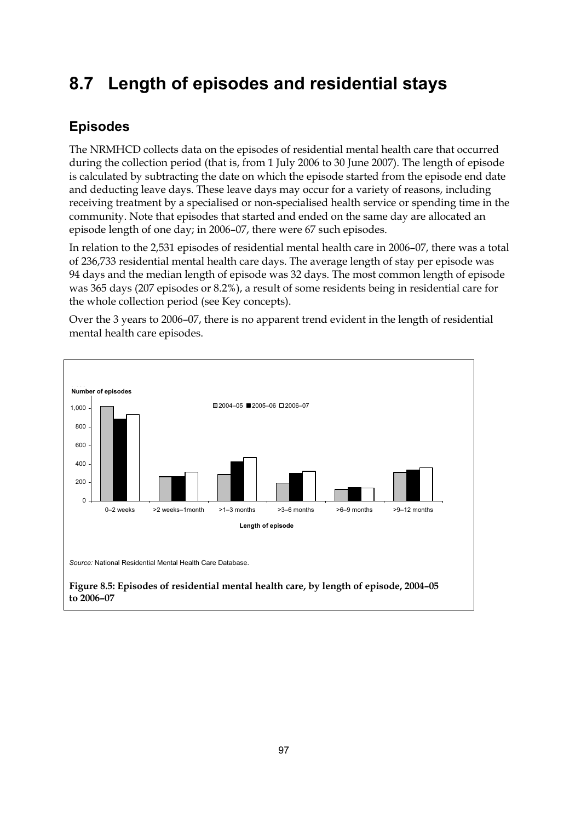# **8.7 Length of episodes and residential stays**

### **Episodes**

The NRMHCD collects data on the episodes of residential mental health care that occurred during the collection period (that is, from 1 July 2006 to 30 June 2007). The length of episode is calculated by subtracting the date on which the episode started from the episode end date and deducting leave days. These leave days may occur for a variety of reasons, including receiving treatment by a specialised or non-specialised health service or spending time in the community. Note that episodes that started and ended on the same day are allocated an episode length of one day; in 2006–07, there were 67 such episodes.

In relation to the 2,531 episodes of residential mental health care in 2006–07, there was a total of 236,733 residential mental health care days. The average length of stay per episode was 94 days and the median length of episode was 32 days. The most common length of episode was 365 days (207 episodes or 8.2%), a result of some residents being in residential care for the whole collection period (see Key concepts).

Over the 3 years to 2006–07, there is no apparent trend evident in the length of residential mental health care episodes.